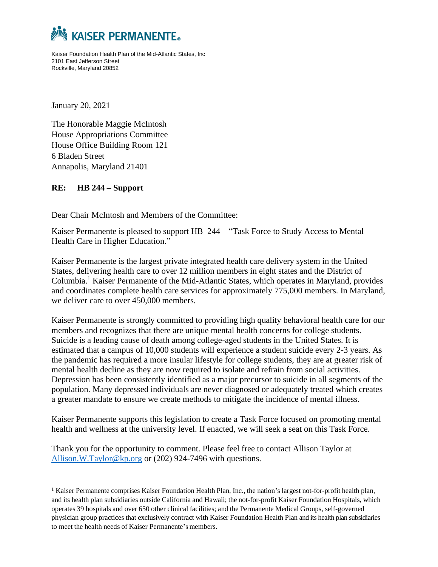

Kaiser Foundation Health Plan of the Mid-Atlantic States, Inc 2101 East Jefferson Street Rockville, Maryland 20852

January 20, 2021

The Honorable Maggie McIntosh House Appropriations Committee House Office Building Room 121 6 Bladen Street Annapolis, Maryland 21401

## **RE: HB 244 – Support**

Dear Chair McIntosh and Members of the Committee:

Kaiser Permanente is pleased to support HB 244 – "Task Force to Study Access to Mental Health Care in Higher Education."

Kaiser Permanente is the largest private integrated health care delivery system in the United States, delivering health care to over 12 million members in eight states and the District of Columbia.<sup>1</sup> Kaiser Permanente of the Mid-Atlantic States, which operates in Maryland, provides and coordinates complete health care services for approximately 775,000 members. In Maryland, we deliver care to over 450,000 members.

Kaiser Permanente is strongly committed to providing high quality behavioral health care for our members and recognizes that there are unique mental health concerns for college students. Suicide is a leading cause of death among college-aged students in the United States. It is estimated that a campus of 10,000 students will experience a student suicide every 2-3 years. As the pandemic has required a more insular lifestyle for college students, they are at greater risk of mental health decline as they are now required to isolate and refrain from social activities. Depression has been consistently identified as a major precursor to suicide in all segments of the population. Many depressed individuals are never diagnosed or adequately treated which creates a greater mandate to ensure we create methods to mitigate the incidence of mental illness.

Kaiser Permanente supports this legislation to create a Task Force focused on promoting mental health and wellness at the university level. If enacted, we will seek a seat on this Task Force.

Thank you for the opportunity to comment. Please feel free to contact Allison Taylor at [Allison.W.Taylor@kp.org](mailto:Allison.W.Taylor@kp.org) or (202) 924-7496 with questions.

<sup>1</sup> Kaiser Permanente comprises Kaiser Foundation Health Plan, Inc., the nation's largest not-for-profit health plan, and its health plan subsidiaries outside California and Hawaii; the not-for-profit Kaiser Foundation Hospitals, which operates 39 hospitals and over 650 other clinical facilities; and the Permanente Medical Groups, self-governed physician group practices that exclusively contract with Kaiser Foundation Health Plan and its health plan subsidiaries to meet the health needs of Kaiser Permanente's members.